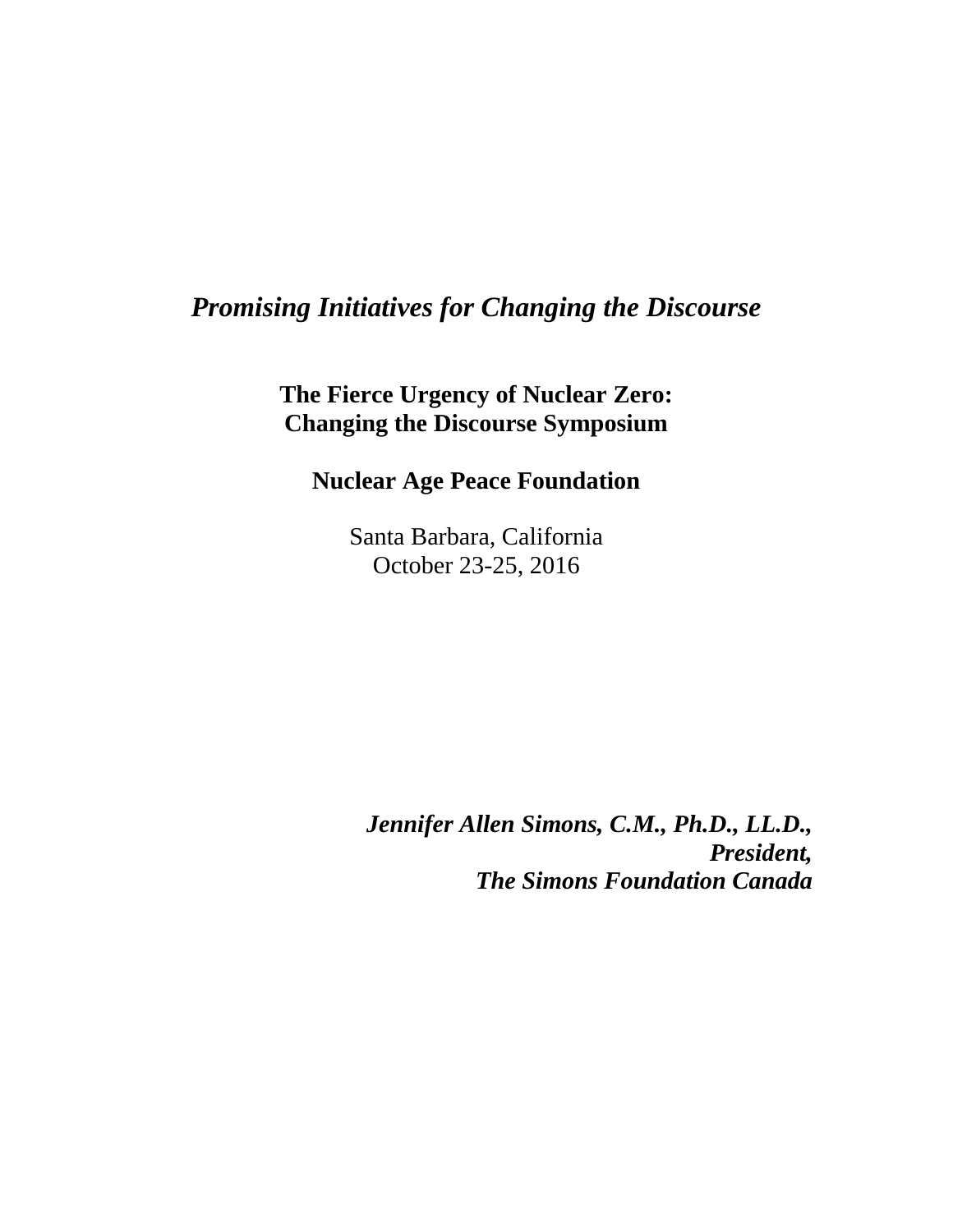## *Promising Initiatives for Changing the Discourse*

**The Fierce Urgency of Nuclear Zero: Changing the Discourse Symposium**

**Nuclear Age Peace Foundation**

Santa Barbara, California October 23-25, 2016

*Jennifer Allen Simons, C.M., Ph.D., LL.D., President, The Simons Foundation Canada*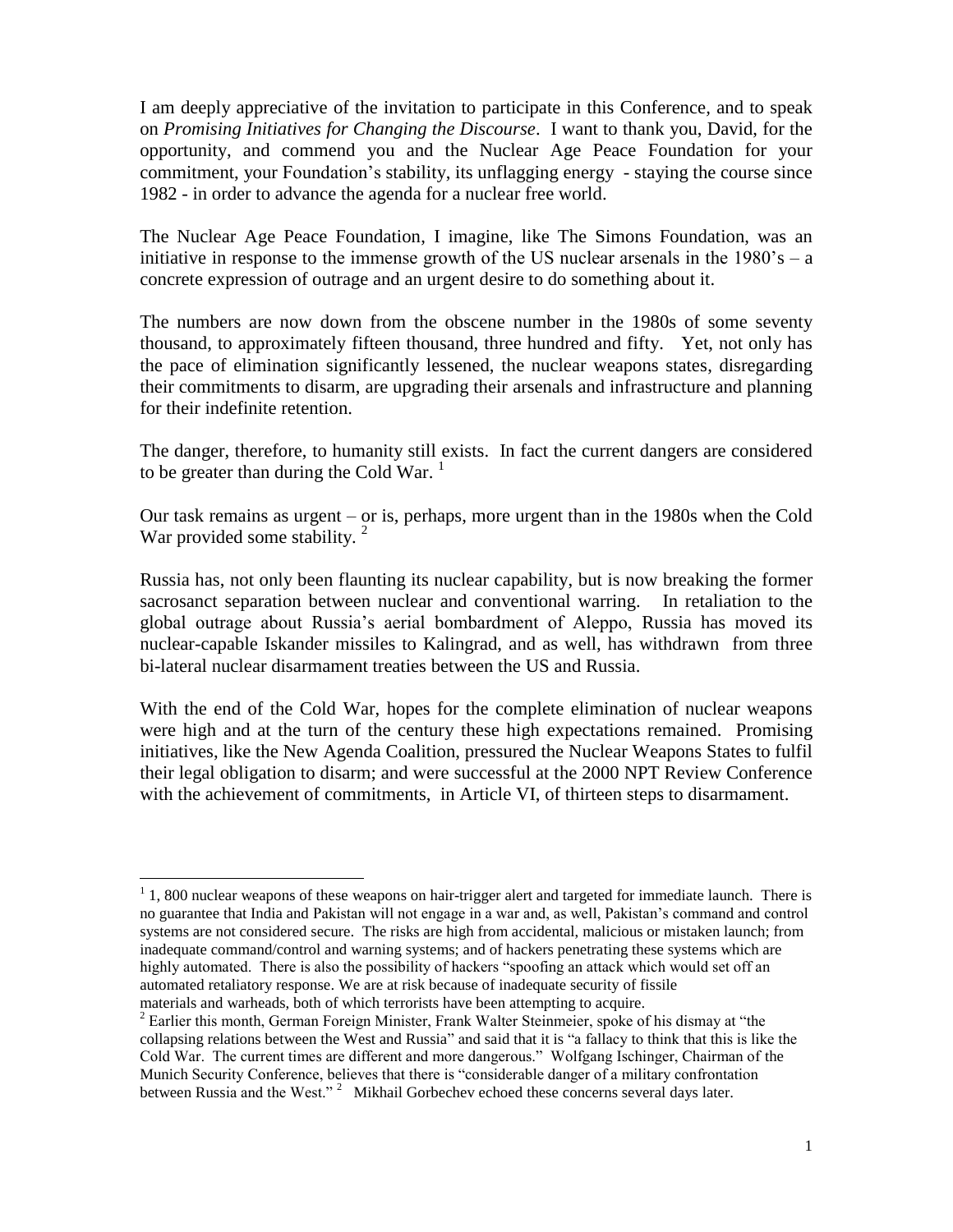I am deeply appreciative of the invitation to participate in this Conference*,* and to speak on *Promising Initiatives for Changing the Discourse*. I want to thank you, David, for the opportunity, and commend you and the Nuclear Age Peace Foundation for your commitment, your Foundation's stability, its unflagging energy - staying the course since 1982 - in order to advance the agenda for a nuclear free world.

The Nuclear Age Peace Foundation, I imagine, like The Simons Foundation, was an initiative in response to the immense growth of the US nuclear arsenals in the  $1980$ 's – a concrete expression of outrage and an urgent desire to do something about it.

The numbers are now down from the obscene number in the 1980s of some seventy thousand, to approximately fifteen thousand, three hundred and fifty. Yet, not only has the pace of elimination significantly lessened, the nuclear weapons states, disregarding their commitments to disarm, are upgrading their arsenals and infrastructure and planning for their indefinite retention.

The danger, therefore, to humanity still exists. In fact the current dangers are considered to be greater than during the Cold War.<sup>1</sup>

Our task remains as urgent – or is, perhaps, more urgent than in the 1980s when the Cold War provided some stability.  $2^2$ 

Russia has, not only been flaunting its nuclear capability, but is now breaking the former sacrosanct separation between nuclear and conventional warring. In retaliation to the global outrage about Russia's aerial bombardment of Aleppo, Russia has moved its nuclear-capable Iskander missiles to Kalingrad, and as well, has withdrawn from three bi-lateral nuclear disarmament treaties between the US and Russia.

With the end of the Cold War, hopes for the complete elimination of nuclear weapons were high and at the turn of the century these high expectations remained. Promising initiatives, like the New Agenda Coalition, pressured the Nuclear Weapons States to fulfil their legal obligation to disarm; and were successful at the 2000 NPT Review Conference with the achievement of commitments, in Article VI, of thirteen steps to disarmament.

<sup>&</sup>lt;sup>1</sup> 1, 800 nuclear weapons of these weapons on hair-trigger alert and targeted for immediate launch. There is no guarantee that India and Pakistan will not engage in a war and, as well, Pakistan's command and control systems are not considered secure. The risks are high from accidental, malicious or mistaken launch; from inadequate command/control and warning systems; and of hackers penetrating these systems which are highly automated. There is also the possibility of hackers "spoofing an attack which would set off an automated retaliatory response. We are at risk because of inadequate security of fissile materials and warheads, both of which terrorists have been attempting to acquire.

 $2^2$  Earlier this month, German Foreign Minister, Frank Walter Steinmeier, spoke of his dismay at "the collapsing relations between the West and Russia" and said that it is "a fallacy to think that this is like the Cold War. The current times are different and more dangerous." Wolfgang Ischinger, Chairman of the Munich Security Conference, believes that there is "considerable danger of a military confrontation between Russia and the West."<sup>2</sup> Mikhail Gorbechev echoed these concerns several days later.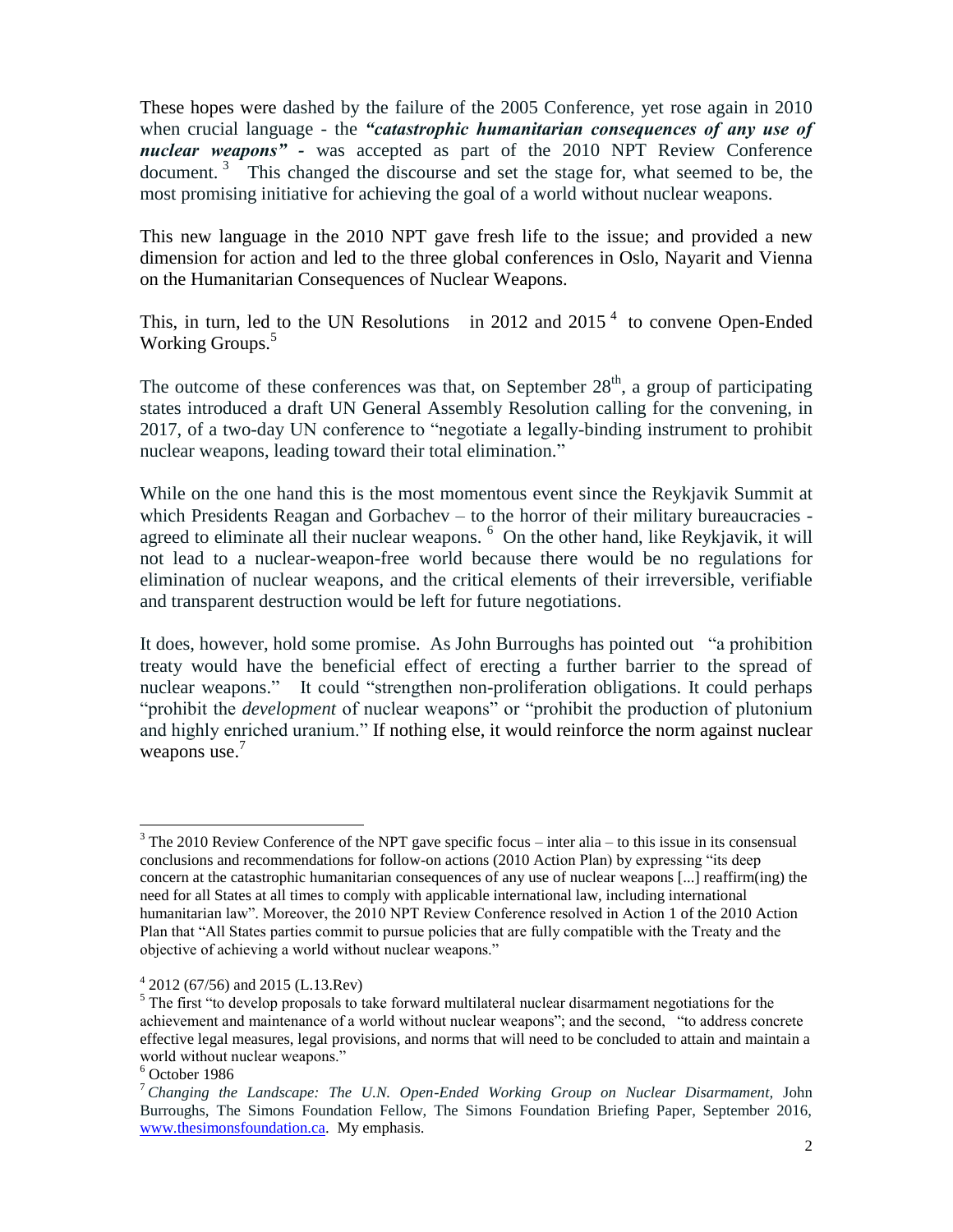These hopes were dashed by the failure of the 2005 Conference, yet rose again in 2010 when crucial language - the *"catastrophic humanitarian consequences of any use of nuclear weapons" -* was accepted as part of the 2010 NPT Review Conference document.<sup>3</sup> This changed the discourse and set the stage for, what seemed to be, the most promising initiative for achieving the goal of a world without nuclear weapons.

This new language in the 2010 NPT gave fresh life to the issue; and provided a new dimension for action and led to the three global conferences in Oslo, Nayarit and Vienna on the Humanitarian Consequences of Nuclear Weapons.

This, in turn, led to the UN Resolutions in 2012 and 2015<sup> $4$ </sup> to convene Open-Ended Working Groups. 5

The outcome of these conferences was that, on September  $28<sup>th</sup>$ , a group of participating states introduced a draft UN General Assembly Resolution calling for the convening, in 2017, of a two-day UN conference to "negotiate a legally-binding instrument to prohibit nuclear weapons, leading toward their total elimination."

While on the one hand this is the most momentous event since the Reykjavik Summit at which Presidents Reagan and Gorbachev – to the horror of their military bureaucracies agreed to eliminate all their nuclear weapons. <sup>6</sup> On the other hand, like Reykjavik, it will not lead to a nuclear-weapon-free world because there would be no regulations for elimination of nuclear weapons, and the critical elements of their irreversible, verifiable and transparent destruction would be left for future negotiations.

It does, however, hold some promise. As John Burroughs has pointed out "a prohibition treaty would have the beneficial effect of erecting a further barrier to the spread of nuclear weapons." It could "strengthen non-proliferation obligations. It could perhaps "prohibit the *development* of nuclear weapons" or "prohibit the production of plutonium and highly enriched uranium." If nothing else, it would reinforce the norm against nuclear weapons use.<sup>7</sup>

 $\overline{a}$ 

 $3$  The 2010 Review Conference of the NPT gave specific focus – inter alia – to this issue in its consensual conclusions and recommendations for follow-on actions (2010 Action Plan) by expressing "its deep concern at the catastrophic humanitarian consequences of any use of nuclear weapons [...] reaffirm(ing) the need for all States at all times to comply with applicable international law, including international humanitarian law". Moreover, the 2010 NPT Review Conference resolved in Action 1 of the 2010 Action Plan that "All States parties commit to pursue policies that are fully compatible with the Treaty and the objective of achieving a world without nuclear weapons."

 $4\,2012\,(67/56)$  and 2015 (L.13.Rev)

 $<sup>5</sup>$  The first "to develop proposals to take forward multilateral nuclear disarmament negotiations for the</sup> achievement and maintenance of a world without nuclear weapons"; and the second, "to address concrete effective legal measures, legal provisions, and norms that will need to be concluded to attain and maintain a world without nuclear weapons."

<sup>6</sup> October 1986

<sup>7</sup> *Changing the Landscape: The U.N. Open-Ended Working Group on Nuclear Disarmament,* John Burroughs, The Simons Foundation Fellow, The Simons Foundation Briefing Paper, September 2016, [www.thesimonsfoundation.ca.](http://www.thesimonsfoundation.ca/) My emphasis.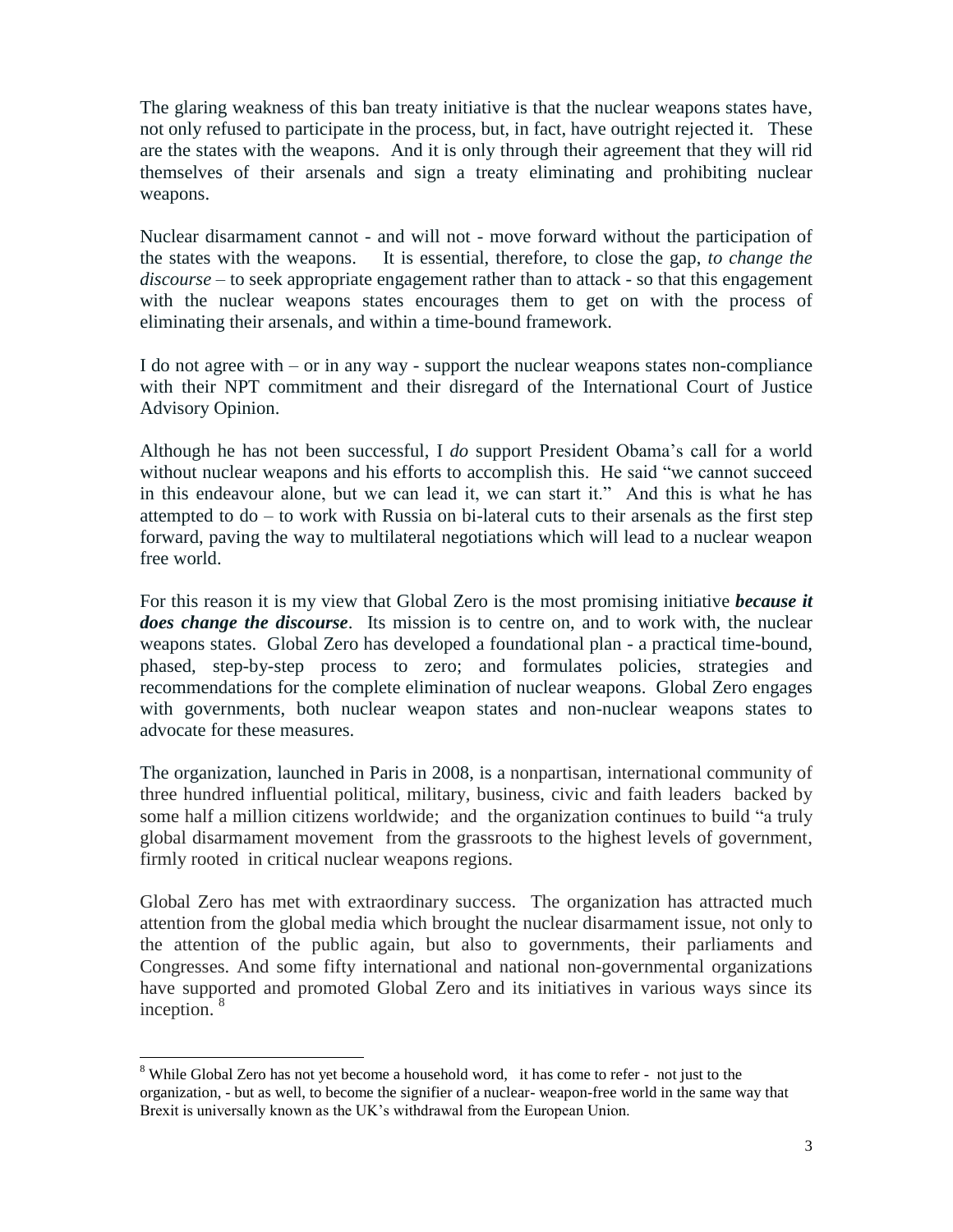The glaring weakness of this ban treaty initiative is that the nuclear weapons states have, not only refused to participate in the process, but, in fact, have outright rejected it. These are the states with the weapons. And it is only through their agreement that they will rid themselves of their arsenals and sign a treaty eliminating and prohibiting nuclear weapons.

Nuclear disarmament cannot - and will not - move forward without the participation of the states with the weapons. It is essential, therefore, to close the gap, *to change the discourse* – to seek appropriate engagement rather than to attack - so that this engagement with the nuclear weapons states encourages them to get on with the process of eliminating their arsenals, and within a time-bound framework.

I do not agree with – or in any way - support the nuclear weapons states non-compliance with their NPT commitment and their disregard of the International Court of Justice Advisory Opinion.

Although he has not been successful, I *do* support President Obama's call for a world without nuclear weapons and his efforts to accomplish this. He said "we cannot succeed in this endeavour alone, but we can lead it, we can start it." And this is what he has attempted to do – to work with Russia on bi-lateral cuts to their arsenals as the first step forward, paving the way to multilateral negotiations which will lead to a nuclear weapon free world.

For this reason it is my view that Global Zero is the most promising initiative *because it does change the discourse*. Its mission is to centre on, and to work with, the nuclear weapons states. Global Zero has developed a foundational plan - a practical time-bound, phased, step-by-step process to zero; and formulates policies, strategies and recommendations for the complete elimination of nuclear weapons. Global Zero engages with governments, both nuclear weapon states and non-nuclear weapons states to advocate for these measures.

The organization, launched in Paris in 2008, is a nonpartisan, international community of three hundred influential political, military, business, civic and faith leaders backed by some half a million citizens worldwide; and the organization continues to build "a truly global disarmament movement from the grassroots to the highest levels of government, firmly rooted in critical nuclear weapons regions.

Global Zero has met with extraordinary success. The organization has attracted much attention from the global media which brought the nuclear disarmament issue, not only to the attention of the public again, but also to governments, their parliaments and Congresses. And some fifty international and national non-governmental organizations have supported and promoted Global Zero and its initiatives in various ways since its inception.<sup>8</sup>

l  $8$  While Global Zero has not yet become a household word, it has come to refer - not just to the organization, - but as well, to become the signifier of a nuclear- weapon-free world in the same way that Brexit is universally known as the UK's withdrawal from the European Union.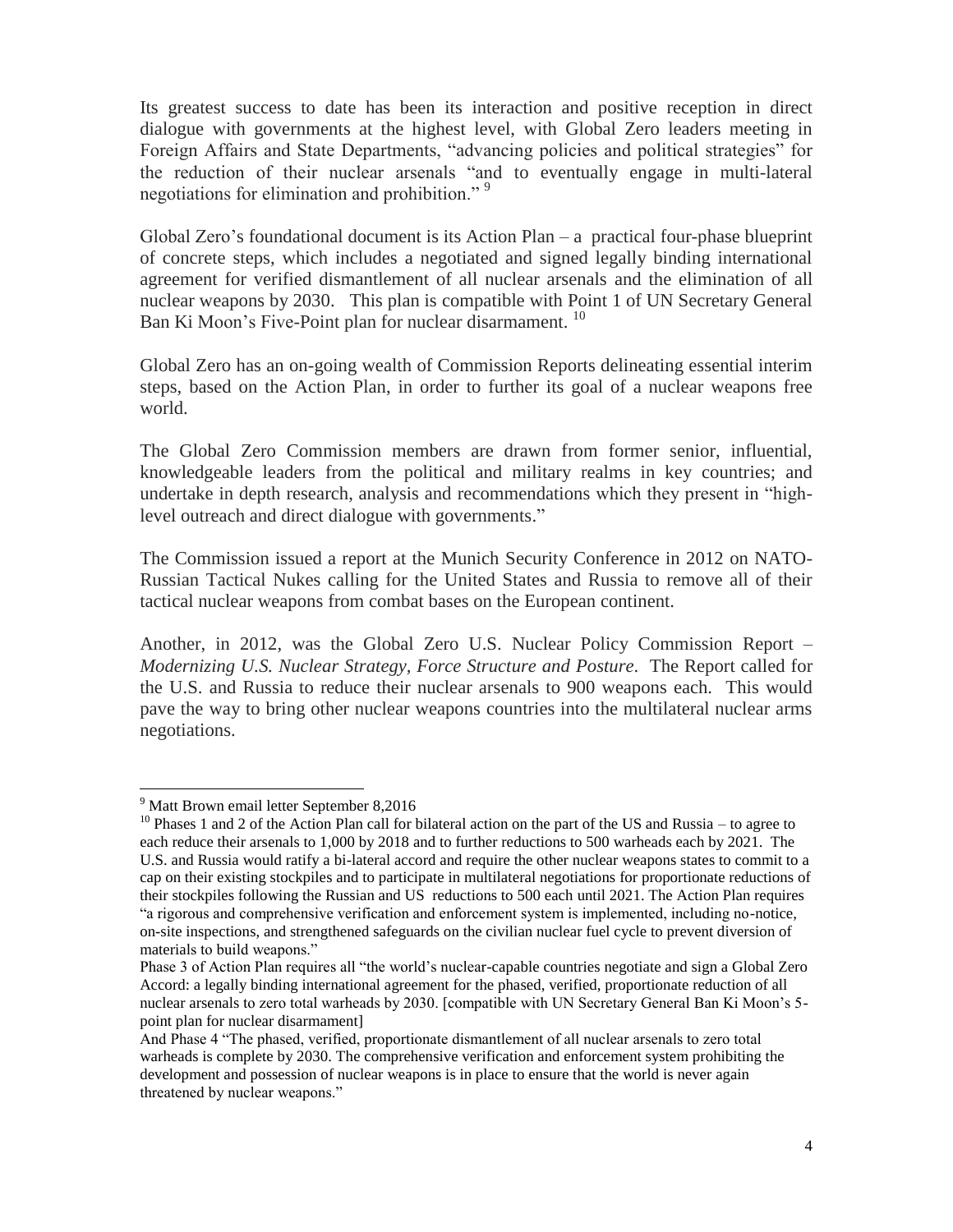Its greatest success to date has been its interaction and positive reception in direct dialogue with governments at the highest level, with Global Zero leaders meeting in Foreign Affairs and State Departments, "advancing policies and political strategies" for the reduction of their nuclear arsenals "and to eventually engage in multi-lateral negotiations for elimination and prohibition."<sup>9</sup>

Global Zero's foundational document is its Action Plan – a practical four-phase blueprint of concrete steps, which includes a negotiated and signed legally binding international agreement for verified dismantlement of all nuclear arsenals and the elimination of all nuclear weapons by 2030. This plan is compatible with Point 1 of UN Secretary General Ban Ki Moon's Five-Point plan for nuclear disarmament.<sup>10</sup>

Global Zero has an on-going wealth of Commission Reports delineating essential interim steps, based on the Action Plan, in order to further its goal of a nuclear weapons free world.

The Global Zero Commission members are drawn from former senior, influential, knowledgeable leaders from the political and military realms in key countries; and undertake in depth research, analysis and recommendations which they present in "highlevel outreach and direct dialogue with governments."

The Commission issued a report at the Munich Security Conference in 2012 on NATO-Russian Tactical Nukes calling for the United States and Russia to remove all of their tactical nuclear weapons from combat bases on the European continent.

Another, in 2012, was the Global Zero U.S. Nuclear Policy Commission Report – *Modernizing U.S. Nuclear Strategy, Force Structure and Posture*. The Report called for the U.S. and Russia to reduce their nuclear arsenals to 900 weapons each. This would pave the way to bring other nuclear weapons countries into the multilateral nuclear arms negotiations.

l <sup>9</sup> Matt Brown email letter September 8,2016

<sup>&</sup>lt;sup>10</sup> Phases 1 and 2 of the Action Plan call for bilateral action on the part of the US and Russia – to agree to each reduce their arsenals to 1,000 by 2018 and to further reductions to 500 warheads each by 2021. The U.S. and Russia would ratify a bi-lateral accord and require the other nuclear weapons states to commit to a cap on their existing stockpiles and to participate in multilateral negotiations for proportionate reductions of their stockpiles following the Russian and US reductions to 500 each until 2021. The Action Plan requires "a rigorous and comprehensive verification and enforcement system is implemented, including no-notice, on-site inspections, and strengthened safeguards on the civilian nuclear fuel cycle to prevent diversion of materials to build weapons."

Phase 3 of Action Plan requires all "the world's nuclear-capable countries negotiate and sign a Global Zero Accord: a legally binding international agreement for the phased, verified, proportionate reduction of all nuclear arsenals to zero total warheads by 2030. [compatible with UN Secretary General Ban Ki Moon's 5 point plan for nuclear disarmament]

And Phase 4 "The phased, verified, proportionate dismantlement of all nuclear arsenals to zero total warheads is complete by 2030. The comprehensive verification and enforcement system prohibiting the development and possession of nuclear weapons is in place to ensure that the world is never again threatened by nuclear weapons."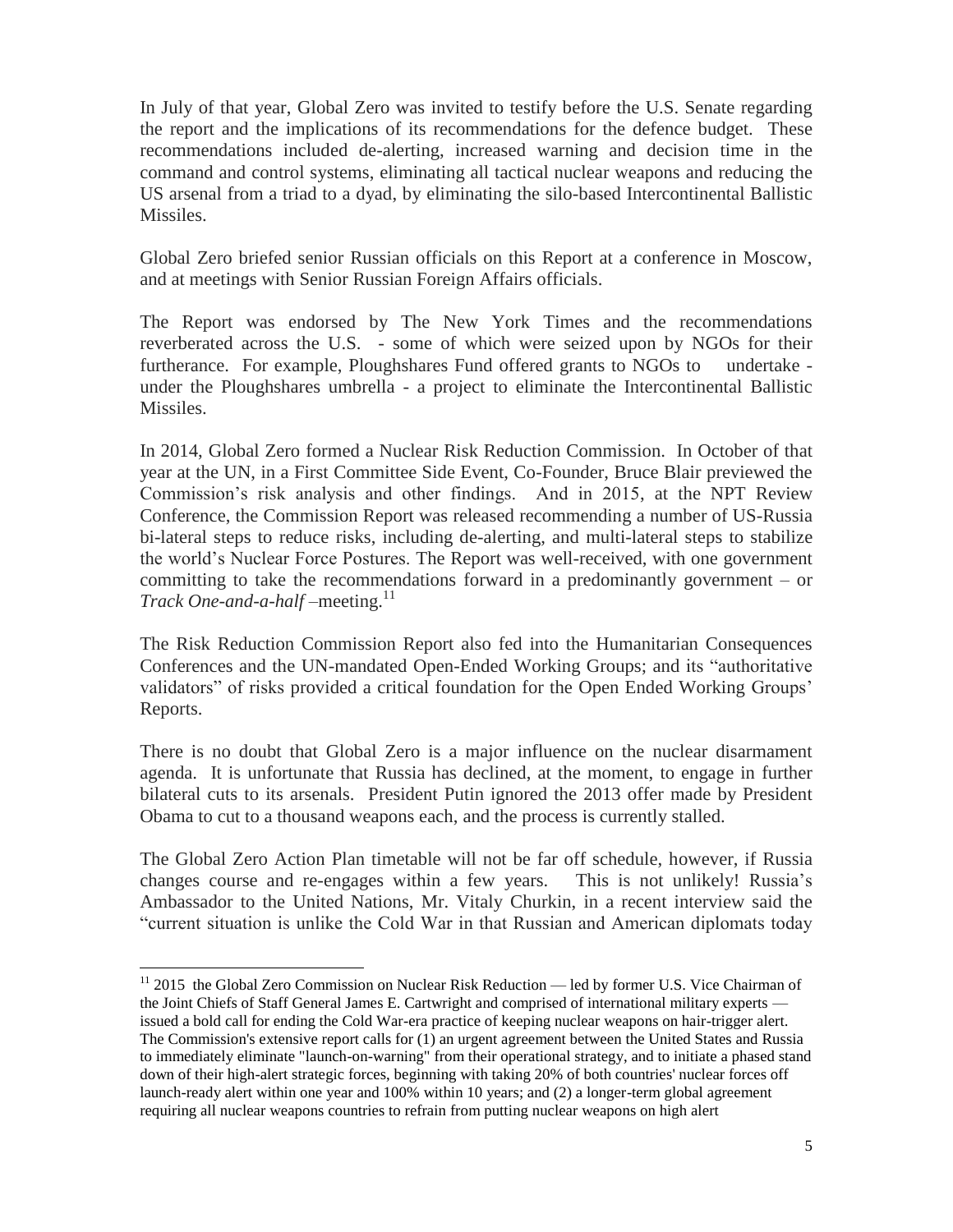In July of that year, Global Zero was invited to testify before the U.S. Senate regarding the report and the implications of its recommendations for the defence budget. These recommendations included de-alerting, increased warning and decision time in the command and control systems, eliminating all tactical nuclear weapons and reducing the US arsenal from a triad to a dyad, by eliminating the silo-based Intercontinental Ballistic Missiles.

Global Zero briefed senior Russian officials on this Report at a conference in Moscow, and at meetings with Senior Russian Foreign Affairs officials.

The Report was endorsed by The New York Times and the recommendations reverberated across the U.S. - some of which were seized upon by NGOs for their furtherance. For example, Ploughshares Fund offered grants to NGOs to undertake under the Ploughshares umbrella - a project to eliminate the Intercontinental Ballistic Missiles.

In 2014, Global Zero formed a Nuclear Risk Reduction Commission. In October of that year at the UN, in a First Committee Side Event, Co-Founder, Bruce Blair previewed the Commission's risk analysis and other findings. And in 2015, at the NPT Review Conference, the Commission Report was released recommending a number of US-Russia bi-lateral steps to reduce risks, including de-alerting, and multi-lateral steps to stabilize the world's Nuclear Force Postures. The Report was well-received, with one government committing to take the recommendations forward in a predominantly government – or *Track One-and-a-half* –meeting. 11

The Risk Reduction Commission Report also fed into the Humanitarian Consequences Conferences and the UN-mandated Open-Ended Working Groups; and its "authoritative validators" of risks provided a critical foundation for the Open Ended Working Groups' Reports.

There is no doubt that Global Zero is a major influence on the nuclear disarmament agenda. It is unfortunate that Russia has declined, at the moment, to engage in further bilateral cuts to its arsenals. President Putin ignored the 2013 offer made by President Obama to cut to a thousand weapons each, and the process is currently stalled.

The Global Zero Action Plan timetable will not be far off schedule, however, if Russia changes course and re-engages within a few years. This is not unlikely! Russia's Ambassador to the United Nations, Mr. Vitaly Churkin, in a recent interview said the "current situation is unlike the Cold War in that Russian and American diplomats today

 $\overline{a}$ 

 $11$  2015 the Global Zero Commission on Nuclear Risk Reduction — led by former U.S. Vice Chairman of the Joint Chiefs of Staff General James E. Cartwright and comprised of international military experts issued a bold call for ending the Cold War-era practice of keeping nuclear weapons on hair-trigger alert. The Commission's extensive report calls for (1) an urgent agreement between the United States and Russia to immediately eliminate "launch-on-warning" from their operational strategy, and to initiate a phased stand down of their high-alert strategic forces, beginning with taking 20% of both countries' nuclear forces off launch-ready alert within one year and 100% within 10 years; and (2) a longer-term global agreement requiring all nuclear weapons countries to refrain from putting nuclear weapons on high alert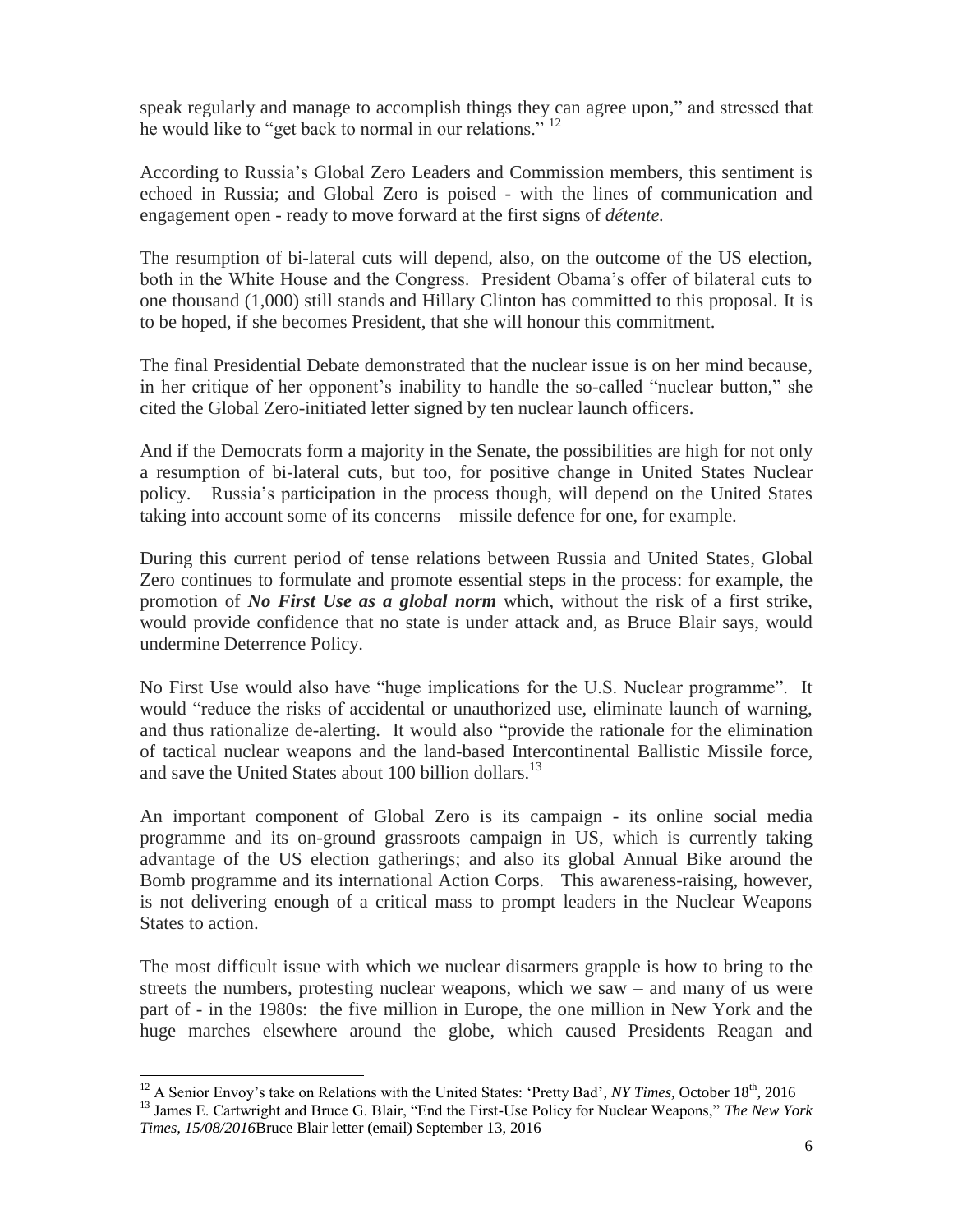speak regularly and manage to accomplish things they can agree upon," and stressed that he would like to "get back to normal in our relations."<sup>12</sup>

According to Russia's Global Zero Leaders and Commission members, this sentiment is echoed in Russia; and Global Zero is poised - with the lines of communication and engagement open - ready to move forward at the first signs of *détente.* 

The resumption of bi-lateral cuts will depend, also, on the outcome of the US election, both in the White House and the Congress. President Obama's offer of bilateral cuts to one thousand (1,000) still stands and Hillary Clinton has committed to this proposal. It is to be hoped, if she becomes President, that she will honour this commitment.

The final Presidential Debate demonstrated that the nuclear issue is on her mind because, in her critique of her opponent's inability to handle the so-called "nuclear button," she cited the Global Zero-initiated letter signed by ten nuclear launch officers.

And if the Democrats form a majority in the Senate, the possibilities are high for not only a resumption of bi-lateral cuts, but too, for positive change in United States Nuclear policy. Russia's participation in the process though, will depend on the United States taking into account some of its concerns – missile defence for one, for example.

During this current period of tense relations between Russia and United States, Global Zero continues to formulate and promote essential steps in the process: for example, the promotion of *No First Use as a global norm* which, without the risk of a first strike, would provide confidence that no state is under attack and, as Bruce Blair says, would undermine Deterrence Policy.

No First Use would also have "huge implications for the U.S. Nuclear programme". It would "reduce the risks of accidental or unauthorized use, eliminate launch of warning, and thus rationalize de-alerting. It would also "provide the rationale for the elimination of tactical nuclear weapons and the land-based Intercontinental Ballistic Missile force, and save the United States about 100 billion dollars.<sup>13</sup>

An important component of Global Zero is its campaign - its online social media programme and its on-ground grassroots campaign in US, which is currently taking advantage of the US election gatherings; and also its global Annual Bike around the Bomb programme and its international Action Corps. This awareness-raising, however, is not delivering enough of a critical mass to prompt leaders in the Nuclear Weapons States to action.

The most difficult issue with which we nuclear disarmers grapple is how to bring to the streets the numbers, protesting nuclear weapons, which we saw – and many of us were part of - in the 1980s: the five million in Europe, the one million in New York and the huge marches elsewhere around the globe, which caused Presidents Reagan and

 $\overline{a}$ <sup>12</sup> A Senior Envoy's take on Relations with the United States: 'Pretty Bad', NY Times, October 18<sup>th</sup>, 2016

<sup>13</sup> James E. Cartwright and Bruce G. Blair, "End the First-Use Policy for Nuclear Weapons," *The New York Times, 15/08/2016*Bruce Blair letter (email) September 13, 2016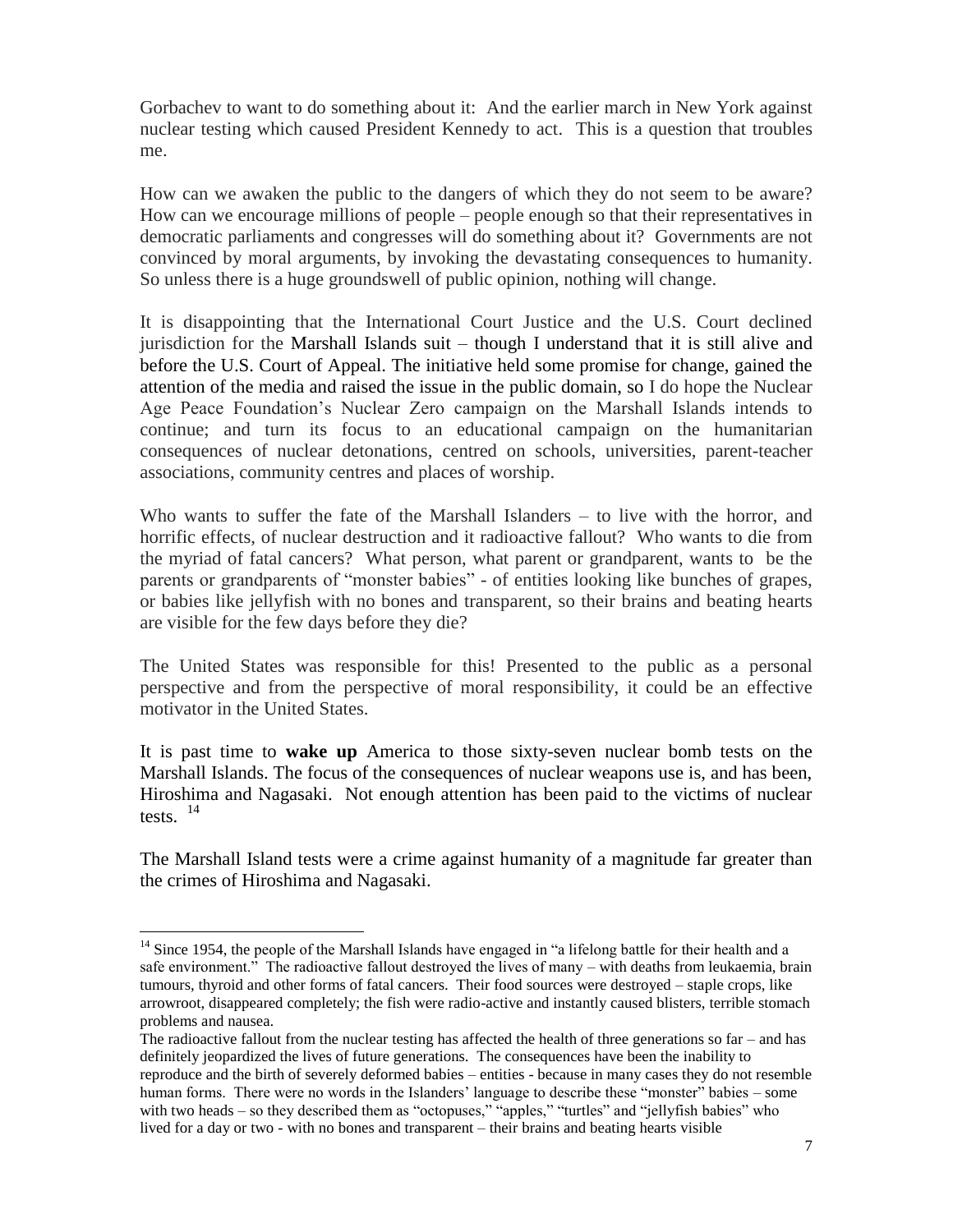Gorbachev to want to do something about it: And the earlier march in New York against nuclear testing which caused President Kennedy to act. This is a question that troubles me.

How can we awaken the public to the dangers of which they do not seem to be aware? How can we encourage millions of people – people enough so that their representatives in democratic parliaments and congresses will do something about it? Governments are not convinced by moral arguments, by invoking the devastating consequences to humanity. So unless there is a huge groundswell of public opinion, nothing will change.

It is disappointing that the International Court Justice and the U.S. Court declined jurisdiction for the Marshall Islands suit – though I understand that it is still alive and before the U.S. Court of Appeal. The initiative held some promise for change, gained the attention of the media and raised the issue in the public domain, so I do hope the Nuclear Age Peace Foundation's Nuclear Zero campaign on the Marshall Islands intends to continue; and turn its focus to an educational campaign on the humanitarian consequences of nuclear detonations, centred on schools, universities, parent-teacher associations, community centres and places of worship.

Who wants to suffer the fate of the Marshall Islanders – to live with the horror, and horrific effects, of nuclear destruction and it radioactive fallout? Who wants to die from the myriad of fatal cancers? What person, what parent or grandparent, wants to be the parents or grandparents of "monster babies" - of entities looking like bunches of grapes, or babies like jellyfish with no bones and transparent, so their brains and beating hearts are visible for the few days before they die?

The United States was responsible for this! Presented to the public as a personal perspective and from the perspective of moral responsibility, it could be an effective motivator in the United States.

It is past time to **wake up** America to those sixty-seven nuclear bomb tests on the Marshall Islands. The focus of the consequences of nuclear weapons use is, and has been, Hiroshima and Nagasaki. Not enough attention has been paid to the victims of nuclear tests. <sup>14</sup>

The Marshall Island tests were a crime against humanity of a magnitude far greater than the crimes of Hiroshima and Nagasaki.

 $\overline{a}$ 

<sup>&</sup>lt;sup>14</sup> Since 1954, the people of the Marshall Islands have engaged in "a lifelong battle for their health and a safe environment." The radioactive fallout destroyed the lives of many – with deaths from leukaemia, brain tumours, thyroid and other forms of fatal cancers. Their food sources were destroyed – staple crops, like arrowroot, disappeared completely; the fish were radio-active and instantly caused blisters, terrible stomach problems and nausea.

The radioactive fallout from the nuclear testing has affected the health of three generations so far – and has definitely jeopardized the lives of future generations. The consequences have been the inability to reproduce and the birth of severely deformed babies – entities - because in many cases they do not resemble human forms. There were no words in the Islanders' language to describe these "monster" babies – some with two heads – so they described them as "octopuses," "apples," "turtles" and "jellyfish babies" who lived for a day or two - with no bones and transparent – their brains and beating hearts visible